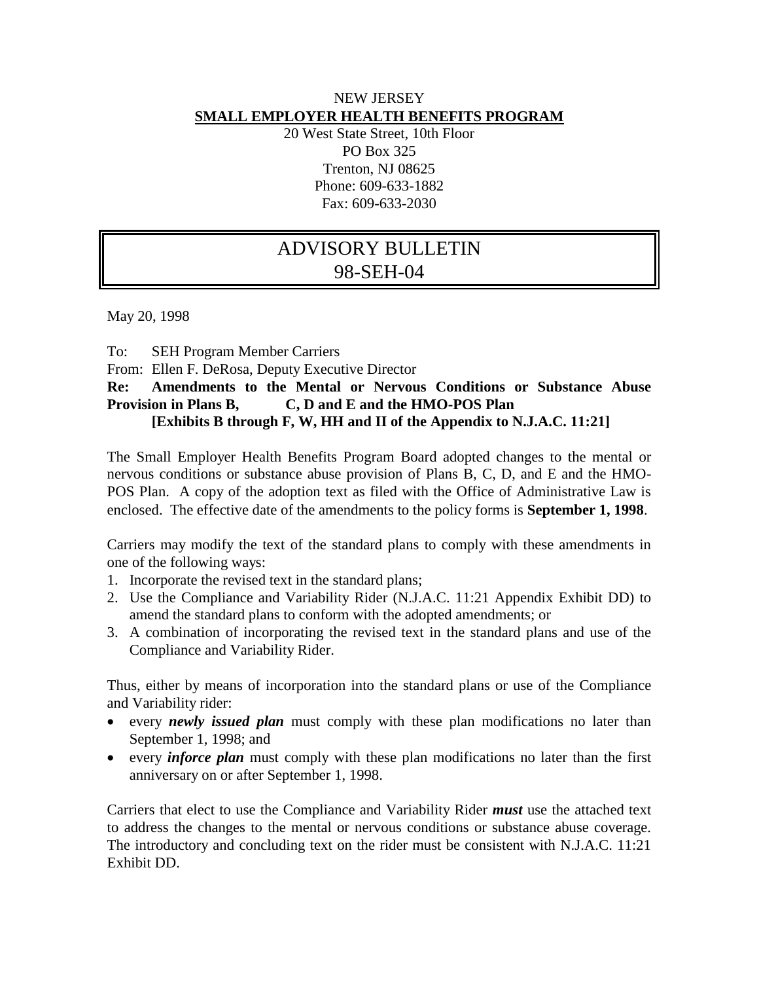### NEW JERSEY **SMALL EMPLOYER HEALTH BENEFITS PROGRAM**

20 West State Street, 10th Floor PO Box 325 Trenton, NJ 08625 Phone: 609-633-1882 Fax: 609-633-2030

# ADVISORY BULLETIN 98-SEH-04

May 20, 1998

To: SEH Program Member Carriers

From: Ellen F. DeRosa, Deputy Executive Director

#### **Re: Amendments to the Mental or Nervous Conditions or Substance Abuse Provision in Plans B, C, D and E and the HMO-POS Plan [Exhibits B through F, W, HH and II of the Appendix to N.J.A.C. 11:21]**

The Small Employer Health Benefits Program Board adopted changes to the mental or nervous conditions or substance abuse provision of Plans B, C, D, and E and the HMO-POS Plan. A copy of the adoption text as filed with the Office of Administrative Law is enclosed. The effective date of the amendments to the policy forms is **September 1, 1998**.

Carriers may modify the text of the standard plans to comply with these amendments in one of the following ways:

- 1. Incorporate the revised text in the standard plans;
- 2. Use the Compliance and Variability Rider (N.J.A.C. 11:21 Appendix Exhibit DD) to amend the standard plans to conform with the adopted amendments; or
- 3. A combination of incorporating the revised text in the standard plans and use of the Compliance and Variability Rider.

Thus, either by means of incorporation into the standard plans or use of the Compliance and Variability rider:

- every *newly issued plan* must comply with these plan modifications no later than September 1, 1998; and
- every *inforce plan* must comply with these plan modifications no later than the first anniversary on or after September 1, 1998.

Carriers that elect to use the Compliance and Variability Rider *must* use the attached text to address the changes to the mental or nervous conditions or substance abuse coverage. The introductory and concluding text on the rider must be consistent with N.J.A.C. 11:21 Exhibit DD.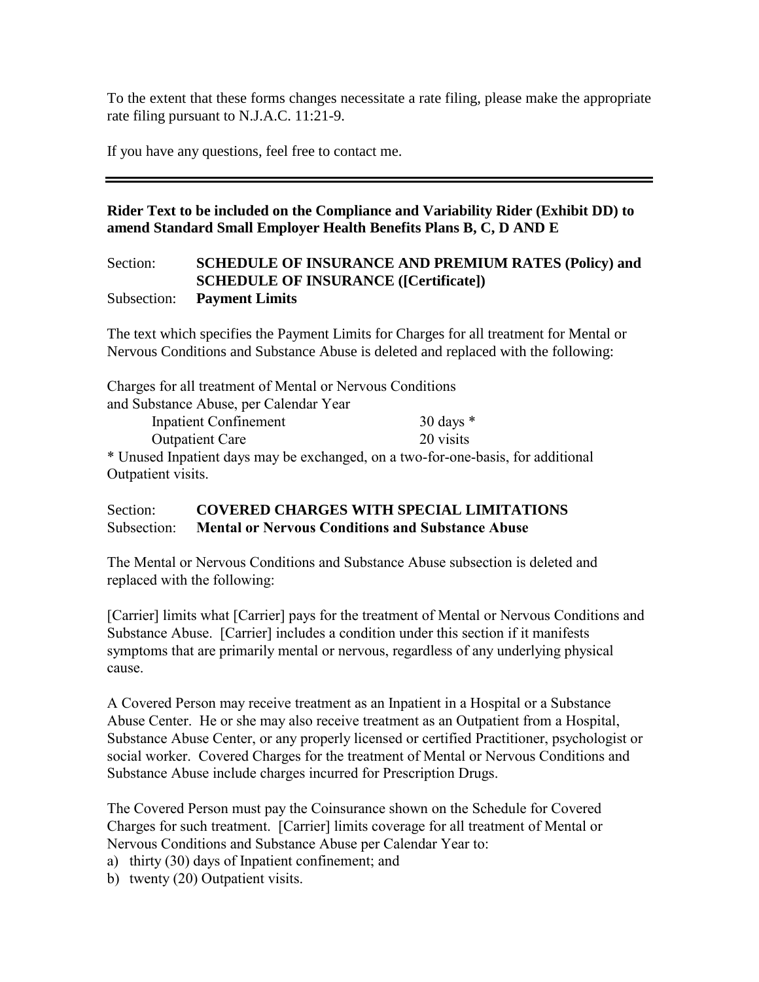To the extent that these forms changes necessitate a rate filing, please make the appropriate rate filing pursuant to N.J.A.C. 11:21-9.

If you have any questions, feel free to contact me.

### **Rider Text to be included on the Compliance and Variability Rider (Exhibit DD) to amend Standard Small Employer Health Benefits Plans B, C, D AND E**

#### Section: **SCHEDULE OF INSURANCE AND PREMIUM RATES (Policy) and SCHEDULE OF INSURANCE ([Certificate])** Subsection: **Payment Limits**

The text which specifies the Payment Limits for Charges for all treatment for Mental or Nervous Conditions and Substance Abuse is deleted and replaced with the following:

| Charges for all treatment of Mental or Nervous Conditions                        |             |
|----------------------------------------------------------------------------------|-------------|
| and Substance Abuse, per Calendar Year                                           |             |
| <b>Inpatient Confinement</b>                                                     | 30 days $*$ |
| <b>Outpatient Care</b>                                                           | 20 visits   |
| * Unused Inpatient days may be exchanged, on a two-for-one-basis, for additional |             |
| Outpatient visits.                                                               |             |

## Section: **COVERED CHARGES WITH SPECIAL LIMITATIONS** Subsection: Mental or Nervous Conditions and Substance Abuse

The Mental or Nervous Conditions and Substance Abuse subsection is deleted and replaced with the following:

[Carrier] limits what [Carrier] pays for the treatment of Mental or Nervous Conditions and Substance Abuse. [Carrier] includes a condition under this section if it manifests symptoms that are primarily mental or nervous, regardless of any underlying physical cause.

A Covered Person may receive treatment as an Inpatient in a Hospital or a Substance Abuse Center. He or she may also receive treatment as an Outpatient from a Hospital, Substance Abuse Center, or any properly licensed or certified Practitioner, psychologist or social worker. Covered Charges for the treatment of Mental or Nervous Conditions and Substance Abuse include charges incurred for Prescription Drugs.

The Covered Person must pay the Coinsurance shown on the Schedule for Covered Charges for such treatment. [Carrier] limits coverage for all treatment of Mental or Nervous Conditions and Substance Abuse per Calendar Year to:

- a) thirty (30) days of Inpatient confinement; and
- b) twenty (20) Outpatient visits.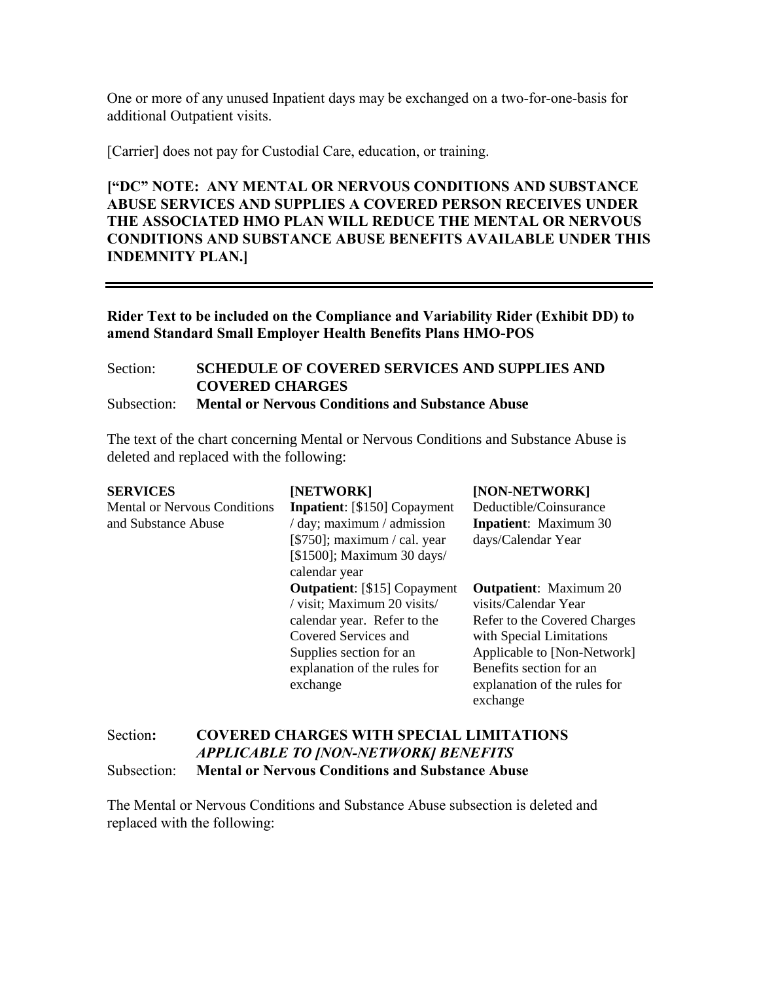One or more of any unused Inpatient days may be exchanged on a two-for-one-basis for additional Outpatient visits.

[Carrier] does not pay for Custodial Care, education, or training.

["DC" NOTE: ANY MENTAL OR NERVOUS CONDITIONS AND SUBSTANCE ABUSE SERVICES AND SUPPLIES A COVERED PERSON RECEIVES UNDER THE ASSOCIATED HMO PLAN WILL REDUCE THE MENTAL OR NERVOUS CONDITIONS AND SUBSTANCE ABUSE BENEFITS AVAILABLE UNDER THIS INDEMNITY PLAN.]

Rider Text to be included on the Compliance and Variability Rider (Exhibit DD) to amend Standard Small Employer Health Benefits Plans HMO-POS

Section: **SCHEDULE OF COVERED SERVICES AND SUPPLIES AND COVERED CHARGES** Subsection: **Mental or Nervous Conditions and Substance Abuse**

The text of the chart concerning Mental or Nervous Conditions and Substance Abuse is deleted and replaced with the following:

| <b>SERVICES</b>                     | [NETWORK]                                          | [NON-NETWORK]                 |
|-------------------------------------|----------------------------------------------------|-------------------------------|
| <b>Mental or Nervous Conditions</b> | <b>Inpatient:</b> [\$150] Copayment                | Deductible/Coinsurance        |
| and Substance Abuse                 | $\frac{1}{2}$ day; maximum $\frac{1}{2}$ admission | <b>Inpatient:</b> Maximum 30  |
|                                     | $[$750]$ ; maximum / cal. year                     | days/Calendar Year            |
|                                     | $[$1500]$ ; Maximum 30 days/                       |                               |
|                                     | calendar year                                      |                               |
|                                     | <b>Outpatient:</b> [\$15] Copayment                | <b>Outpatient:</b> Maximum 20 |
|                                     | / visit; Maximum 20 visits/                        | visits/Calendar Year          |
|                                     | calendar year. Refer to the                        | Refer to the Covered Charges  |
|                                     | Covered Services and                               | with Special Limitations      |
|                                     | Supplies section for an                            | Applicable to [Non-Network]   |
|                                     | explanation of the rules for                       | Benefits section for an       |
|                                     | exchange                                           | explanation of the rules for  |
|                                     |                                                    | exchange                      |

#### Section: COVERED CHARGES WITH SPECIAL LIMITATIONS *APPLICABLE TO [NON-NETWORK] BENEFITS* Subsection: Mental or Nervous Conditions and Substance Abuse

The Mental or Nervous Conditions and Substance Abuse subsection is deleted and replaced with the following: